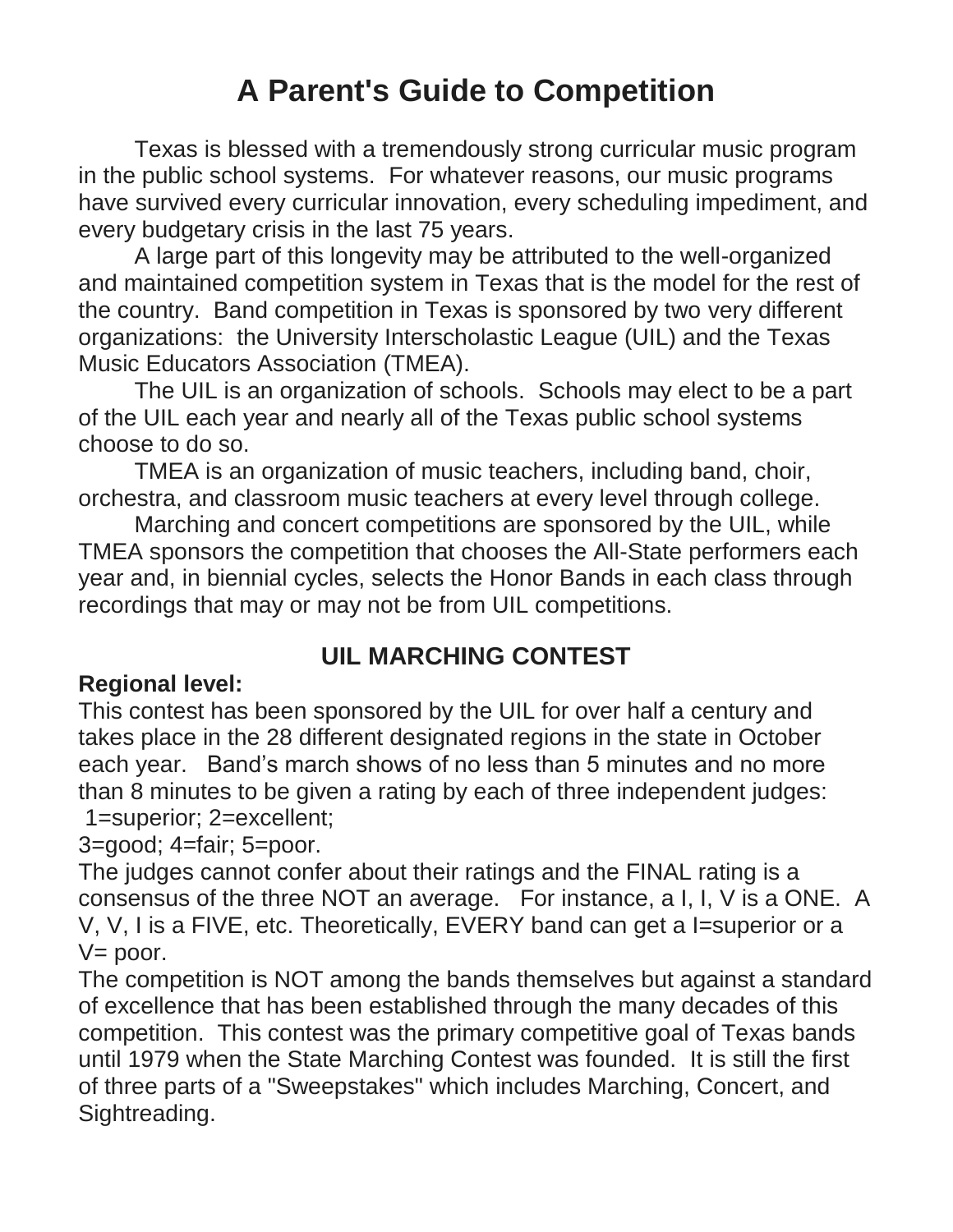# **A Parent's Guide to Competition**

Texas is blessed with a tremendously strong curricular music program in the public school systems. For whatever reasons, our music programs have survived every curricular innovation, every scheduling impediment, and every budgetary crisis in the last 75 years.

A large part of this longevity may be attributed to the well-organized and maintained competition system in Texas that is the model for the rest of the country. Band competition in Texas is sponsored by two very different organizations: the University Interscholastic League (UIL) and the Texas Music Educators Association (TMEA).

The UIL is an organization of schools. Schools may elect to be a part of the UIL each year and nearly all of the Texas public school systems choose to do so.

TMEA is an organization of music teachers, including band, choir, orchestra, and classroom music teachers at every level through college.

Marching and concert competitions are sponsored by the UIL, while TMEA sponsors the competition that chooses the All-State performers each year and, in biennial cycles, selects the Honor Bands in each class through recordings that may or may not be from UIL competitions.

## **UIL MARCHING CONTEST**

#### **Regional level:**

This contest has been sponsored by the UIL for over half a century and takes place in the 28 different designated regions in the state in October each year. Band's march shows of no less than 5 minutes and no more than 8 minutes to be given a rating by each of three independent judges: 1=superior; 2=excellent;

3=good; 4=fair; 5=poor.

The judges cannot confer about their ratings and the FINAL rating is a consensus of the three NOT an average. For instance, a I, I, V is a ONE. A V, V, I is a FIVE, etc. Theoretically, EVERY band can get a I=superior or a  $V=$  poor.

The competition is NOT among the bands themselves but against a standard of excellence that has been established through the many decades of this competition. This contest was the primary competitive goal of Texas bands until 1979 when the State Marching Contest was founded. It is still the first of three parts of a "Sweepstakes" which includes Marching, Concert, and Sightreading.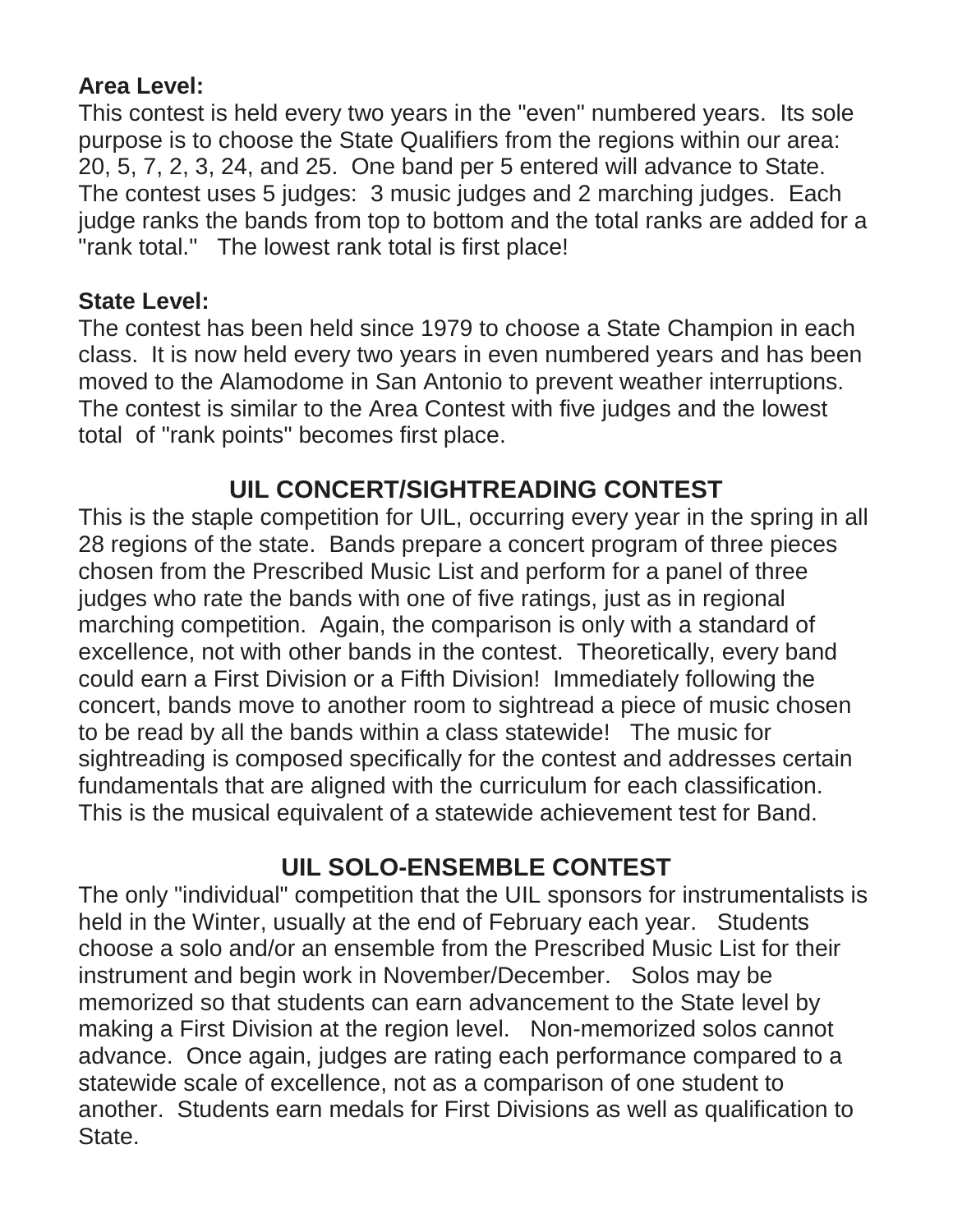### **Area Level:**

This contest is held every two years in the "even" numbered years. Its sole purpose is to choose the State Qualifiers from the regions within our area: 20, 5, 7, 2, 3, 24, and 25. One band per 5 entered will advance to State. The contest uses 5 judges: 3 music judges and 2 marching judges. Each judge ranks the bands from top to bottom and the total ranks are added for a "rank total." The lowest rank total is first place!

#### **State Level:**

The contest has been held since 1979 to choose a State Champion in each class. It is now held every two years in even numbered years and has been moved to the Alamodome in San Antonio to prevent weather interruptions. The contest is similar to the Area Contest with five judges and the lowest total of "rank points" becomes first place.

## **UIL CONCERT/SIGHTREADING CONTEST**

This is the staple competition for UIL, occurring every year in the spring in all 28 regions of the state. Bands prepare a concert program of three pieces chosen from the Prescribed Music List and perform for a panel of three judges who rate the bands with one of five ratings, just as in regional marching competition. Again, the comparison is only with a standard of excellence, not with other bands in the contest. Theoretically, every band could earn a First Division or a Fifth Division! Immediately following the concert, bands move to another room to sightread a piece of music chosen to be read by all the bands within a class statewide! The music for sightreading is composed specifically for the contest and addresses certain fundamentals that are aligned with the curriculum for each classification. This is the musical equivalent of a statewide achievement test for Band.

## **UIL SOLO-ENSEMBLE CONTEST**

The only "individual" competition that the UIL sponsors for instrumentalists is held in the Winter, usually at the end of February each year. Students choose a solo and/or an ensemble from the Prescribed Music List for their instrument and begin work in November/December. Solos may be memorized so that students can earn advancement to the State level by making a First Division at the region level. Non-memorized solos cannot advance. Once again, judges are rating each performance compared to a statewide scale of excellence, not as a comparison of one student to another. Students earn medals for First Divisions as well as qualification to State.